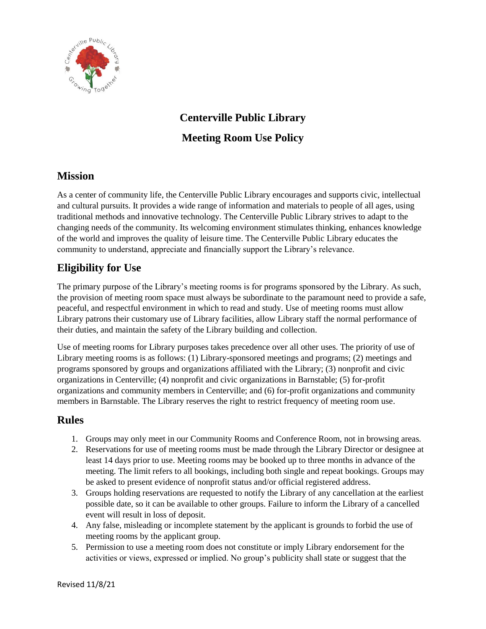

# **Centerville Public Library Meeting Room Use Policy**

## **Mission**

As a center of community life, the Centerville Public Library encourages and supports civic, intellectual and cultural pursuits. It provides a wide range of information and materials to people of all ages, using traditional methods and innovative technology. The Centerville Public Library strives to adapt to the changing needs of the community. Its welcoming environment stimulates thinking, enhances knowledge of the world and improves the quality of leisure time. The Centerville Public Library educates the community to understand, appreciate and financially support the Library's relevance.

# **Eligibility for Use**

The primary purpose of the Library's meeting rooms is for programs sponsored by the Library. As such, the provision of meeting room space must always be subordinate to the paramount need to provide a safe, peaceful, and respectful environment in which to read and study. Use of meeting rooms must allow Library patrons their customary use of Library facilities, allow Library staff the normal performance of their duties, and maintain the safety of the Library building and collection.

Use of meeting rooms for Library purposes takes precedence over all other uses. The priority of use of Library meeting rooms is as follows: (1) Library-sponsored meetings and programs; (2) meetings and programs sponsored by groups and organizations affiliated with the Library; (3) nonprofit and civic organizations in Centerville; (4) nonprofit and civic organizations in Barnstable; (5) for-profit organizations and community members in Centerville; and (6) for-profit organizations and community members in Barnstable. The Library reserves the right to restrict frequency of meeting room use.

#### **Rules**

- 1. Groups may only meet in our Community Rooms and Conference Room, not in browsing areas.
- 2. Reservations for use of meeting rooms must be made through the Library Director or designee at least 14 days prior to use. Meeting rooms may be booked up to three months in advance of the meeting. The limit refers to all bookings, including both single and repeat bookings. Groups may be asked to present evidence of nonprofit status and/or official registered address.
- 3. Groups holding reservations are requested to notify the Library of any cancellation at the earliest possible date, so it can be available to other groups. Failure to inform the Library of a cancelled event will result in loss of deposit.
- 4. Any false, misleading or incomplete statement by the applicant is grounds to forbid the use of meeting rooms by the applicant group.
- 5. Permission to use a meeting room does not constitute or imply Library endorsement for the activities or views, expressed or implied. No group's publicity shall state or suggest that the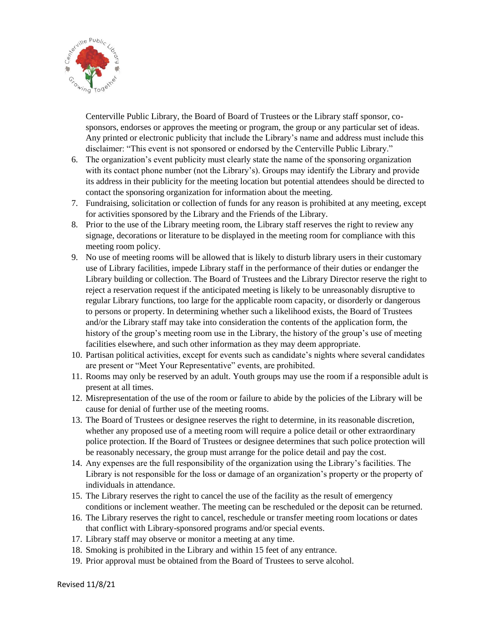

Centerville Public Library, the Board of Board of Trustees or the Library staff sponsor, cosponsors, endorses or approves the meeting or program, the group or any particular set of ideas. Any printed or electronic publicity that include the Library's name and address must include this disclaimer: "This event is not sponsored or endorsed by the Centerville Public Library."

- 6. The organization's event publicity must clearly state the name of the sponsoring organization with its contact phone number (not the Library's). Groups may identify the Library and provide its address in their publicity for the meeting location but potential attendees should be directed to contact the sponsoring organization for information about the meeting.
- 7. Fundraising, solicitation or collection of funds for any reason is prohibited at any meeting, except for activities sponsored by the Library and the Friends of the Library.
- 8. Prior to the use of the Library meeting room, the Library staff reserves the right to review any signage, decorations or literature to be displayed in the meeting room for compliance with this meeting room policy.
- 9. No use of meeting rooms will be allowed that is likely to disturb library users in their customary use of Library facilities, impede Library staff in the performance of their duties or endanger the Library building or collection. The Board of Trustees and the Library Director reserve the right to reject a reservation request if the anticipated meeting is likely to be unreasonably disruptive to regular Library functions, too large for the applicable room capacity, or disorderly or dangerous to persons or property. In determining whether such a likelihood exists, the Board of Trustees and/or the Library staff may take into consideration the contents of the application form, the history of the group's meeting room use in the Library, the history of the group's use of meeting facilities elsewhere, and such other information as they may deem appropriate.
- 10. Partisan political activities, except for events such as candidate's nights where several candidates are present or "Meet Your Representative" events, are prohibited.
- 11. Rooms may only be reserved by an adult. Youth groups may use the room if a responsible adult is present at all times.
- 12. Misrepresentation of the use of the room or failure to abide by the policies of the Library will be cause for denial of further use of the meeting rooms.
- 13. The Board of Trustees or designee reserves the right to determine, in its reasonable discretion, whether any proposed use of a meeting room will require a police detail or other extraordinary police protection. If the Board of Trustees or designee determines that such police protection will be reasonably necessary, the group must arrange for the police detail and pay the cost.
- 14. Any expenses are the full responsibility of the organization using the Library's facilities. The Library is not responsible for the loss or damage of an organization's property or the property of individuals in attendance.
- 15. The Library reserves the right to cancel the use of the facility as the result of emergency conditions or inclement weather. The meeting can be rescheduled or the deposit can be returned.
- 16. The Library reserves the right to cancel, reschedule or transfer meeting room locations or dates that conflict with Library-sponsored programs and/or special events.
- 17. Library staff may observe or monitor a meeting at any time.
- 18. Smoking is prohibited in the Library and within 15 feet of any entrance.
- 19. Prior approval must be obtained from the Board of Trustees to serve alcohol.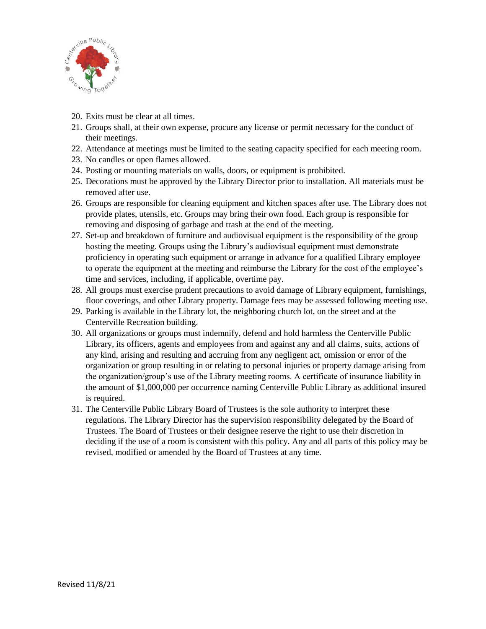

- 20. Exits must be clear at all times.
- 21. Groups shall, at their own expense, procure any license or permit necessary for the conduct of their meetings.
- 22. Attendance at meetings must be limited to the seating capacity specified for each meeting room.
- 23. No candles or open flames allowed.
- 24. Posting or mounting materials on walls, doors, or equipment is prohibited.
- 25. Decorations must be approved by the Library Director prior to installation. All materials must be removed after use.
- 26. Groups are responsible for cleaning equipment and kitchen spaces after use. The Library does not provide plates, utensils, etc. Groups may bring their own food. Each group is responsible for removing and disposing of garbage and trash at the end of the meeting.
- 27. Set-up and breakdown of furniture and audiovisual equipment is the responsibility of the group hosting the meeting. Groups using the Library's audiovisual equipment must demonstrate proficiency in operating such equipment or arrange in advance for a qualified Library employee to operate the equipment at the meeting and reimburse the Library for the cost of the employee's time and services, including, if applicable, overtime pay.
- 28. All groups must exercise prudent precautions to avoid damage of Library equipment, furnishings, floor coverings, and other Library property. Damage fees may be assessed following meeting use.
- 29. Parking is available in the Library lot, the neighboring church lot, on the street and at the Centerville Recreation building.
- 30. All organizations or groups must indemnify, defend and hold harmless the Centerville Public Library, its officers, agents and employees from and against any and all claims, suits, actions of any kind, arising and resulting and accruing from any negligent act, omission or error of the organization or group resulting in or relating to personal injuries or property damage arising from the organization/group's use of the Library meeting rooms. A certificate of insurance liability in the amount of \$1,000,000 per occurrence naming Centerville Public Library as additional insured is required.
- 31. The Centerville Public Library Board of Trustees is the sole authority to interpret these regulations. The Library Director has the supervision responsibility delegated by the Board of Trustees. The Board of Trustees or their designee reserve the right to use their discretion in deciding if the use of a room is consistent with this policy. Any and all parts of this policy may be revised, modified or amended by the Board of Trustees at any time.